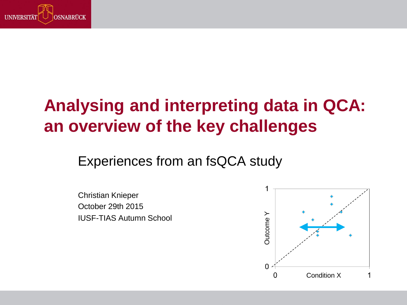

# **Analysing and interpreting data in QCA: an overview of the key challenges**

Experiences from an fsQCA study

Christian Knieper October 29th 2015 IUSF-TIAS Autumn School

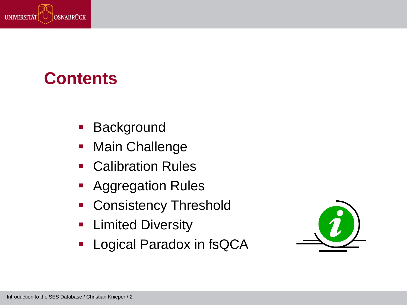

### **Contents**

- **Background**
- **Main Challenge**
- Calibration Rules
- **Aggregation Rules**
- **Consistency Threshold**
- **Example diversity**
- **-** Logical Paradox in fsQCA

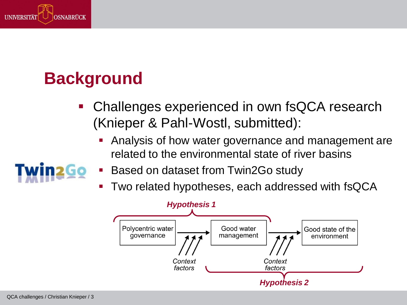

# **Background**

- Challenges experienced in own fsQCA research (Knieper & Pahl-Wostl, submitted):
	- **Analysis of how water governance and management are** related to the environmental state of river basins
	- Based on dataset from Twin2Go study
	- Two related hypotheses, each addressed with fsQCA

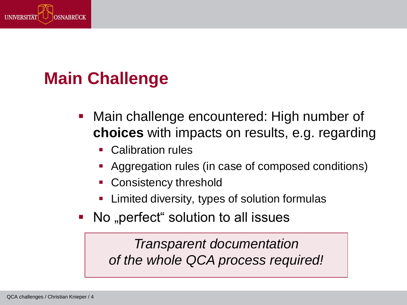

# **Main Challenge**

- Main challenge encountered: High number of **choices** with impacts on results, e.g. regarding
	- Calibration rules
	- Aggregation rules (in case of composed conditions)
	- Consistency threshold
	- Limited diversity, types of solution formulas
- No "perfect" solution to all issues

*Transparent documentation of the whole QCA process required!*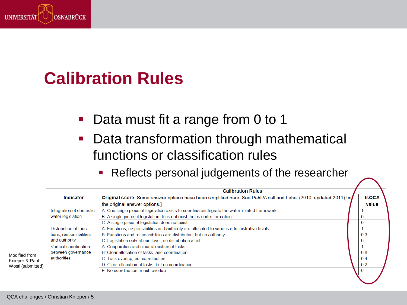

#### **Calibration Rules**

- **Data must fit a range from 0 to 1**
- **Data transformation through mathematical** functions or classification rules
	- **Reflects personal judgements of the researcher**

|                         | <b>Calibration Rules</b>                                                                                         |       |
|-------------------------|------------------------------------------------------------------------------------------------------------------|-------|
| Indicator               | Original score [Some answer options have been simplified here. See Pahl-Wostl and Lebel (2010, updated 2011) for | fsQCA |
|                         | the original answer options.]                                                                                    | value |
| Integration of domestic | A: One single piece of legislation exists to coordinate/integrate the water-related framework                    |       |
| water legislation       | B: A single piece of legislation does not exist, but is under formation                                          |       |
|                         | C: A single piece of legislation does not exist                                                                  | υ     |
| Distribution of func-   | A: Functions, responsibilities and authority are allocated to various administrative levels                      |       |
| tions, responsibilities | B: Functions and responsibilities are distributed, but no authority                                              | 0.3   |
| and authority           | C: Legislation only at one level, no distribution at all                                                         | 0     |
| Vertical coordination   | A: Cooperation and clear allocation of tasks                                                                     |       |
| between governance      | B: Clear allocation of tasks, and coordination                                                                   | 0.8   |
| authorities             | C: Task overlap, but coordination                                                                                | 0.4   |
|                         | D: Clear allocation of tasks, but no coordination                                                                | 0.2   |
|                         | E: No coordination, much overlap                                                                                 | 0     |
|                         |                                                                                                                  |       |

Modified from Knieper & Pahl-Wostl (submitted)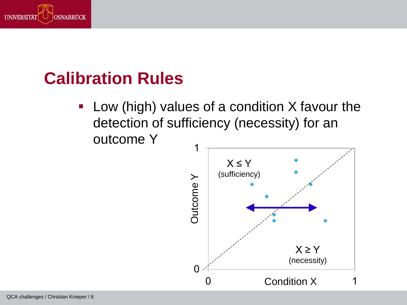

#### **Calibration Rules**

**Low (high) values of a condition X favour the** detection of sufficiency (necessity) for an outcome Y

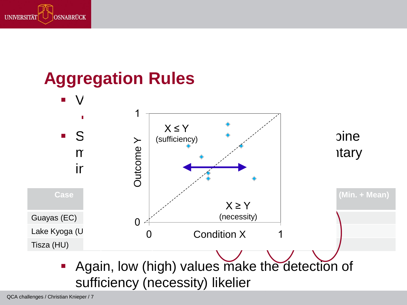

#### **Aggregation Rules**



QCA challenges / Christian Knieper / 7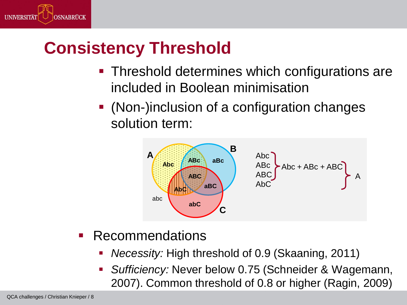

# **Consistency Threshold**

- **Threshold determines which configurations are** included in Boolean minimisation
- (Non-)inclusion of a configuration changes solution term:



- **Recommendations** 
	- *Necessity:* High threshold of 0.9 (Skaaning, 2011)
	- *Sufficiency:* Never below 0.75 (Schneider & Wagemann, 2007). Common threshold of 0.8 or higher (Ragin, 2009)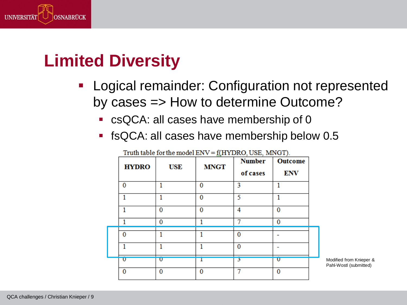

### **Limited Diversity**

- Logical remainder: Configuration not represented by cases => How to determine Outcome?
	- **Cancel 1** cases have membership of 0
	- fsQCA: all cases have membership below 0.5

| <b>HYDRO</b>            | <b>USE</b>   | <b>MNGT</b>  | <b>Number</b><br>of cases | <b>Outcome</b><br><b>ENV</b> |  |
|-------------------------|--------------|--------------|---------------------------|------------------------------|--|
| 0                       |              | 0            | 3                         |                              |  |
|                         |              | $\mathbf{0}$ | 5                         |                              |  |
|                         | $\mathbf{0}$ | $\bf{0}$     | 4                         | $\Omega$                     |  |
|                         | 0            |              | 7                         | 0                            |  |
| 0                       |              |              | 0                         |                              |  |
|                         |              |              | $\bf{0}$                  |                              |  |
| $\overline{\mathbf{U}}$ | υ            |              | 3                         | Ū                            |  |
| 0                       | 0            | 0            | o                         | $\Omega$                     |  |

Truth table for the model ENV = f(HYDRO, USE, MNGT).

Modified from Knieper & Pahl-Wostl (submitted)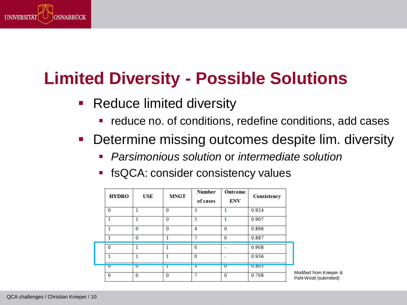

# **Limited Diversity - Possible Solutions**

- **Reduce limited diversity** 
	- **•** reduce no. of conditions, redefine conditions, add cases
- Determine missing outcomes despite lim. diversity
	- *Parsimonious solution* or *intermediate solution*
	- **finally** fsQCA: consider consistency values

| <b>HYDRO</b> | USE          | <b>MNGT</b>  | <b>Number</b><br>of cases | Outcome<br><b>ENV</b> | Consistency  |                                                   |
|--------------|--------------|--------------|---------------------------|-----------------------|--------------|---------------------------------------------------|
| $\bf{0}$     |              | $\bf{0}$     | 3                         |                       | 0.924        |                                                   |
|              |              | $\bf{0}$     | 5                         |                       | 0.907        |                                                   |
|              | $\bf{0}$     | $\mathbf{0}$ | 4                         | $\Omega$              | 0.896        |                                                   |
|              | $\bf{0}$     |              | π                         | $\Omega$              | 0.887        |                                                   |
| $\bf{0}$     |              |              | $\bf{0}$                  |                       | 0.908        |                                                   |
|              |              |              | $\Omega$                  |                       | 0.936        |                                                   |
| $\mathbf{U}$ | $\mathbf{U}$ | ı            | د                         | $\mathbf{U}$          | <b>U.8U5</b> |                                                   |
| $\bf{0}$     | $\bf{0}$     | $\bf{0}$     | π                         | $\bf{0}$              | 0.708        | Modified from Knieper &<br>Pahl-Wostl (submitted) |
|              |              |              |                           |                       |              |                                                   |

QCA challenges / Christian Knieper / 10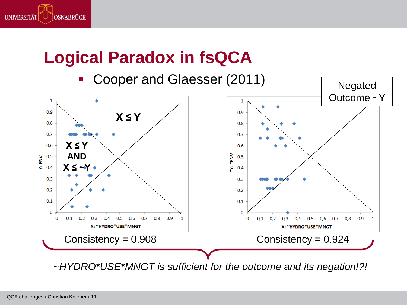

## **Logical Paradox in fsQCA**

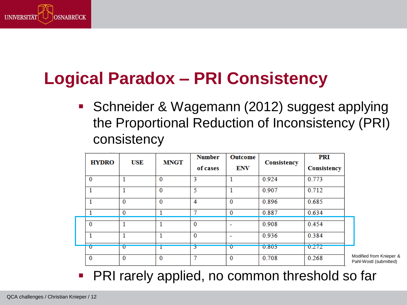

# **Logical Paradox – PRI Consistency**

**Schneider & Wagemann (2012) suggest applying** the Proportional Reduction of Inconsistency (PRI) consistency

| <b>HYDRO</b> | <b>USE</b>              | <b>MNGT</b> | <b>Number</b><br>of cases | Outcome<br><b>ENV</b>    | Consistency  | <b>PRI</b><br>Consistency |
|--------------|-------------------------|-------------|---------------------------|--------------------------|--------------|---------------------------|
| $\bf{0}$     |                         | $\bf{0}$    | 3                         |                          | 0.924        | 0.773                     |
| 1            |                         | $\bf{0}$    | 5                         |                          | 0.907        | 0.712                     |
| 1            | $\bf{0}$                | $\bf{0}$    | 4                         | $\bf{0}$                 | 0.896        | 0.685                     |
| 1            | 0                       |             | 7                         | $\bf{0}$                 | 0.887        | 0.634                     |
| $\bf{0}$     |                         |             | $\Omega$                  | $\overline{\phantom{a}}$ | 0.908        | 0.454                     |
| 1            |                         |             | $\Omega$                  | ٠                        | 0.936        | 0.384                     |
| $\mathbf{U}$ | $\overline{\mathbf{U}}$ |             | ٥                         | $\overline{\mathbf{u}}$  | <b>U.8U5</b> | 0.212                     |
| 0            | $\bf{0}$                | 0           | π                         | $\bf{0}$                 | 0.708        | 0.268                     |

fied from Knieper & Wostl (submitted)

■ PRI rarely applied, no common threshold so far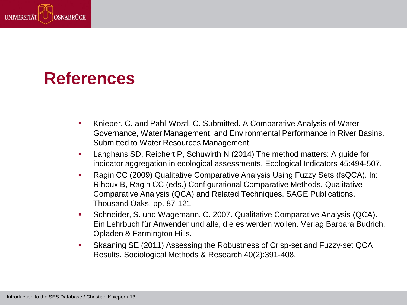

## **References**

- Knieper, C. and Pahl-Wostl, C. Submitted. A Comparative Analysis of Water Governance, Water Management, and Environmental Performance in River Basins. Submitted to Water Resources Management.
- Langhans SD, Reichert P, Schuwirth N (2014) The method matters: A guide for indicator aggregation in ecological assessments. Ecological Indicators 45:494-507.
- Ragin CC (2009) Qualitative Comparative Analysis Using Fuzzy Sets (fsQCA). In: Rihoux B, Ragin CC (eds.) Configurational Comparative Methods. Qualitative Comparative Analysis (QCA) and Related Techniques. SAGE Publications, Thousand Oaks, pp. 87-121
- Schneider, S. und Wagemann, C. 2007. Qualitative Comparative Analysis (QCA). Ein Lehrbuch für Anwender und alle, die es werden wollen. Verlag Barbara Budrich, Opladen & Farmington Hills.
- Skaaning SE (2011) Assessing the Robustness of Crisp-set and Fuzzy-set QCA Results. Sociological Methods & Research 40(2):391-408.